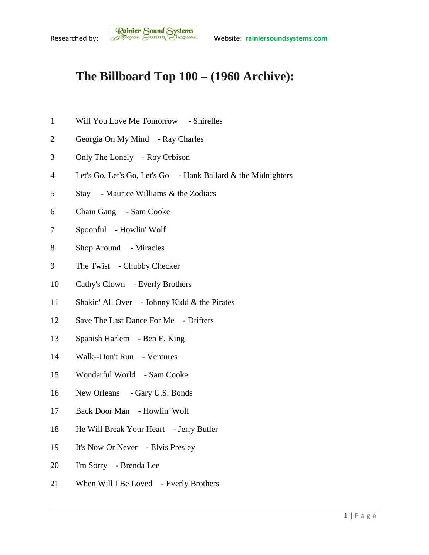## **The Billboard Top 100 – (1960 Archive):**

- Will You Love Me Tomorrow Shirelles
- Georgia On My Mind Ray Charles
- Only The Lonely Roy Orbison
- Let's Go, Let's Go, Let's Go Hank Ballard & the Midnighters
- Stay Maurice Williams & the Zodiacs
- Chain Gang Sam Cooke
- Spoonful Howlin' Wolf
- 8 Shop Around Miracles
- The Twist Chubby Checker
- Cathy's Clown Everly Brothers
- Shakin' All Over Johnny Kidd & the Pirates
- Save The Last Dance For Me Drifters
- Spanish Harlem Ben E. King
- Walk--Don't Run Ventures
- Wonderful World Sam Cooke
- 16 New Orleans Gary U.S. Bonds
- Back Door Man Howlin' Wolf
- 18 He Will Break Your Heart Jerry Butler
- It's Now Or Never Elvis Presley
- I'm Sorry Brenda Lee
- 21 When Will I Be Loved Everly Brothers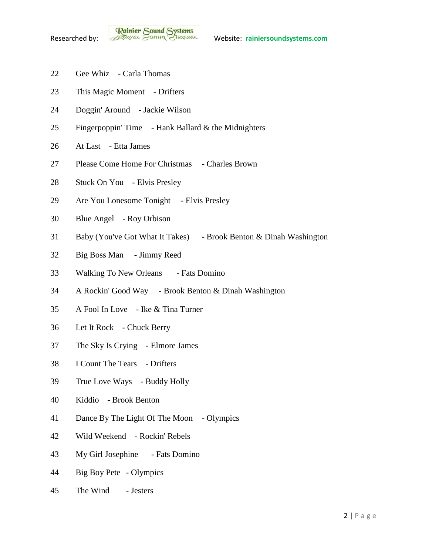**Rainier Sound Systems**<br>Researched by: *Bothuges* Conner Charantee Website: rainiersoundsystems.com

- Gee Whiz Carla Thomas
- This Magic Moment Drifters
- Doggin' Around Jackie Wilson
- Fingerpoppin' Time Hank Ballard & the Midnighters
- At Last Etta James
- Please Come Home For Christmas Charles Brown
- Stuck On You Elvis Presley
- Are You Lonesome Tonight Elvis Presley
- Blue Angel Roy Orbison
- Baby (You've Got What It Takes) Brook Benton & Dinah Washington
- Big Boss Man Jimmy Reed
- 33 Walking To New Orleans Fats Domino
- A Rockin' Good Way Brook Benton & Dinah Washington
- A Fool In Love Ike & Tina Turner
- Let It Rock Chuck Berry
- The Sky Is Crying Elmore James
- I Count The Tears Drifters
- True Love Ways Buddy Holly
- Kiddio Brook Benton
- Dance By The Light Of The Moon Olympics
- Wild Weekend Rockin' Rebels
- My Girl Josephine Fats Domino
- Big Boy Pete Olympics
- The Wind Jesters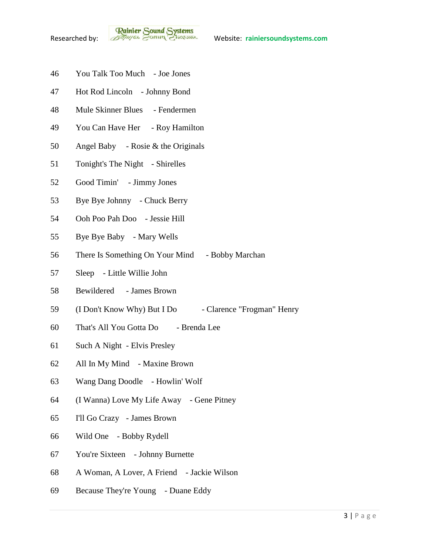- You Talk Too Much Joe Jones
- Hot Rod Lincoln Johnny Bond
- Mule Skinner Blues Fendermen
- You Can Have Her Roy Hamilton
- Angel Baby Rosie & the Originals
- Tonight's The Night Shirelles
- Good Timin' Jimmy Jones
- Bye Bye Johnny Chuck Berry
- Ooh Poo Pah Doo Jessie Hill
- Bye Bye Baby Mary Wells
- There Is Something On Your Mind Bobby Marchan
- Sleep Little Willie John
- Bewildered James Brown
- 59 (I Don't Know Why) But I Do Clarence "Frogman" Henry
- That's All You Gotta Do Brenda Lee
- Such A Night Elvis Presley
- All In My Mind Maxine Brown
- Wang Dang Doodle Howlin' Wolf
- (I Wanna) Love My Life Away Gene Pitney
- I'll Go Crazy James Brown
- Wild One Bobby Rydell
- You're Sixteen Johnny Burnette
- A Woman, A Lover, A Friend Jackie Wilson
- Because They're Young Duane Eddy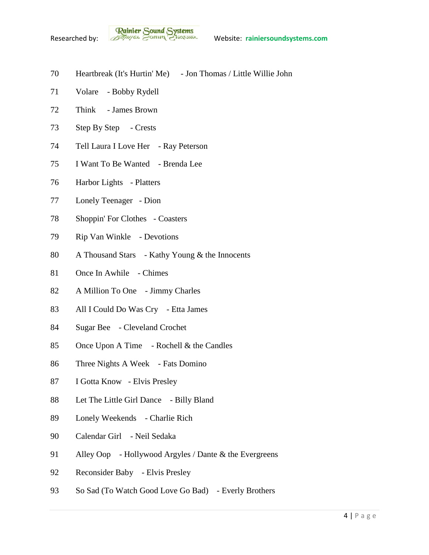- Heartbreak (It's Hurtin' Me) Jon Thomas / Little Willie John
- Volare Bobby Rydell
- Think James Brown
- Step By Step Crests
- Tell Laura I Love Her Ray Peterson
- I Want To Be Wanted Brenda Lee
- Harbor Lights Platters
- Lonely Teenager Dion
- Shoppin' For Clothes Coasters
- Rip Van Winkle Devotions
- A Thousand Stars Kathy Young & the Innocents
- Once In Awhile Chimes
- A Million To One Jimmy Charles
- All I Could Do Was Cry Etta James
- Sugar Bee Cleveland Crochet
- Once Upon A Time Rochell & the Candles
- Three Nights A Week Fats Domino
- I Gotta Know Elvis Presley
- Let The Little Girl Dance Billy Bland
- Lonely Weekends Charlie Rich
- Calendar Girl Neil Sedaka
- Alley Oop Hollywood Argyles / Dante & the Evergreens
- Reconsider Baby Elvis Presley
- 93 So Sad (To Watch Good Love Go Bad) Everly Brothers